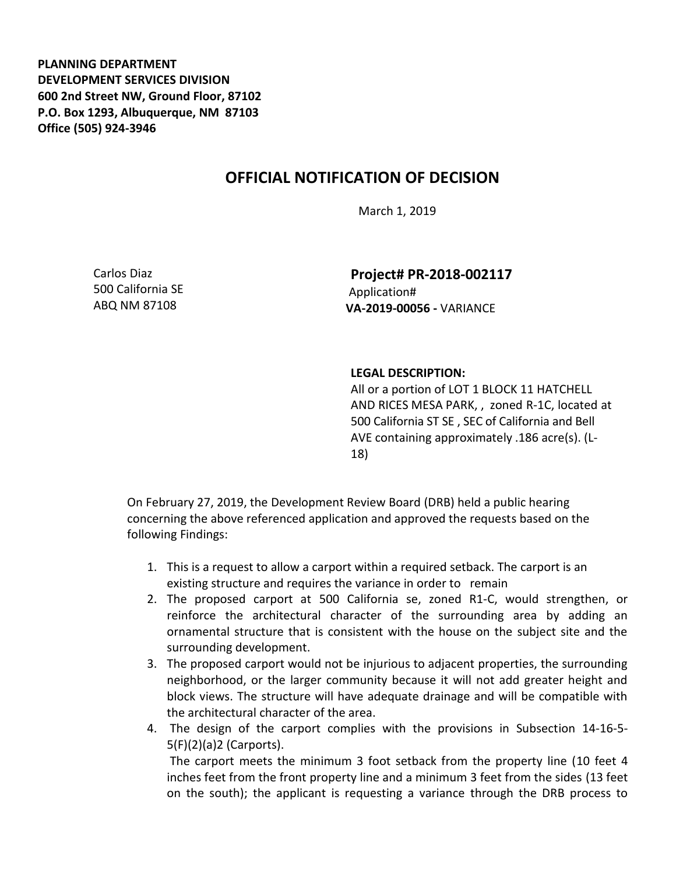**PLANNING DEPARTMENT DEVELOPMENT SERVICES DIVISION 600 2nd Street NW, Ground Floor, 87102 P.O. Box 1293, Albuquerque, NM 87103 Office (505) 924-3946** 

## **OFFICIAL NOTIFICATION OF DECISION**

March 1, 2019

Carlos Diaz 500 California SE ABQ NM 87108

**Project# PR-2018-002117** Application# **VA-2019-00056 -** VARIANCE

## **LEGAL DESCRIPTION:**

All or a portion of LOT 1 BLOCK 11 HATCHELL AND RICES MESA PARK, , zoned R-1C, located at 500 California ST SE , SEC of California and Bell AVE containing approximately .186 acre(s). (L-18)

On February 27, 2019, the Development Review Board (DRB) held a public hearing concerning the above referenced application and approved the requests based on the following Findings:

- 1. This is a request to allow a carport within a required setback. The carport is an existing structure and requires the variance in order to remain
- 2. The proposed carport at 500 California se, zoned R1-C, would strengthen, or reinforce the architectural character of the surrounding area by adding an ornamental structure that is consistent with the house on the subject site and the surrounding development.
- 3. The proposed carport would not be injurious to adjacent properties, the surrounding neighborhood, or the larger community because it will not add greater height and block views. The structure will have adequate drainage and will be compatible with the architectural character of the area.
- 4. The design of the carport complies with the provisions in Subsection 14-16-5- 5(F)(2)(a)2 (Carports).

The carport meets the minimum 3 foot setback from the property line (10 feet 4 inches feet from the front property line and a minimum 3 feet from the sides (13 feet on the south); the applicant is requesting a variance through the DRB process to